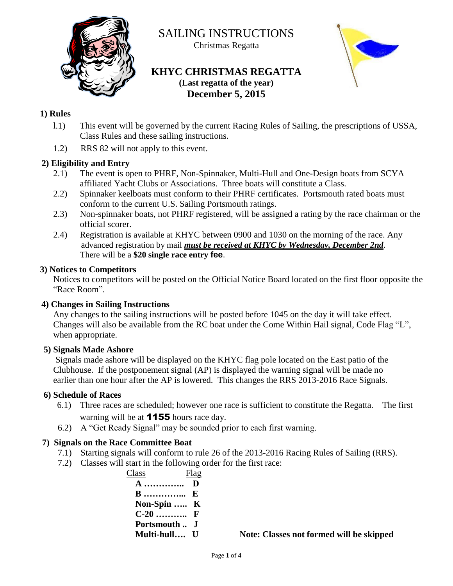

SAILING INSTRUCTIONS

Christmas Regatta

### **KHYC CHRISTMAS REGATTA (Last regatta of the year) December 5, 2015**



#### **1) Rules**

- l.1) This event will be governed by the current Racing Rules of Sailing, the prescriptions of USSA, Class Rules and these sailing instructions.
- 1.2) RRS 82 will not apply to this event.

#### **2) Eligibility and Entry**

- 2.1) The event is open to PHRF, Non-Spinnaker, Multi-Hull and One-Design boats from SCYA affiliated Yacht Clubs or Associations. Three boats will constitute a Class.
- 2.2) Spinnaker keelboats must conform to their PHRF certificates. Portsmouth rated boats must conform to the current U.S. Sailing Portsmouth ratings.
- 2.3) Non-spinnaker boats, not PHRF registered, will be assigned a rating by the race chairman or the official scorer.
- 2.4) Registration is available at KHYC between 0900 and 1030 on the morning of the race. Any advanced registration by mail *must be received at KHYC by Wednesday, December 2nd*. There will be a **\$20 single race entry fee**.

#### **3) Notices to Competitors**

Notices to competitors will be posted on the Official Notice Board located on the first floor opposite the "Race Room".

#### **4) Changes in Sailing Instructions**

Any changes to the sailing instructions will be posted before 1045 on the day it will take effect. Changes will also be available from the RC boat under the Come Within Hail signal, Code Flag "L", when appropriate.

#### **5) Signals Made Ashore**

 Signals made ashore will be displayed on the KHYC flag pole located on the East patio of the Clubhouse. If the postponement signal (AP) is displayed the warning signal will be made no earlier than one hour after the AP is lowered. This changes the RRS 2013-2016 Race Signals.

#### **6) Schedule of Races**

- 6.1) Three races are scheduled; however one race is sufficient to constitute the Regatta. The first warning will be at **1155** hours race day.
- 6.2) A "Get Ready Signal" may be sounded prior to each first warning.

#### **7) Signals on the Race Committee Boat**

- 7.1) Starting signals will conform to rule 26 of the 2013-2016 Racing Rules of Sailing (RRS).
- 7.2) Classes will start in the following order for the first race:

 Class Flag **A ………….. D B …………... E Non-Spin ….. K C-20 ……….. F Portsmouth .. J** 

 **Multi-hull…. U Note: Classes not formed will be skipped**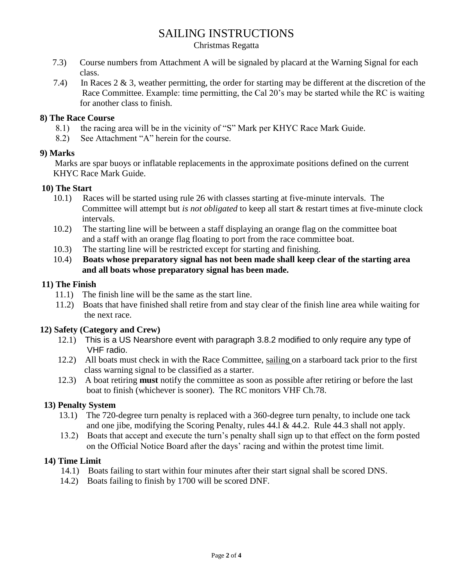## SAILING INSTRUCTIONS

#### Christmas Regatta

- 7.3) Course numbers from Attachment A will be signaled by placard at the Warning Signal for each class.
- 7.4) In Races 2 & 3, weather permitting, the order for starting may be different at the discretion of the Race Committee. Example: time permitting, the Cal 20's may be started while the RC is waiting for another class to finish.

#### **8) The Race Course**

- 8.1) the racing area will be in the vicinity of "S" Mark per KHYC Race Mark Guide.
- 8.2) See Attachment "A" herein for the course.

#### **9) Marks**

 Marks are spar buoys or inflatable replacements in the approximate positions defined on the current KHYC Race Mark Guide.

#### **10) The Start**

- 10.1) Races will be started using rule 26 with classes starting at five-minute intervals. The Committee will attempt but *is not obligated* to keep all start & restart times at five-minute clock intervals.
- 10.2) The starting line will be between a staff displaying an orange flag on the committee boat and a staff with an orange flag floating to port from the race committee boat.
- 10.3) The starting line will be restricted except for starting and finishing.
- 10.4) **Boats whose preparatory signal has not been made shall keep clear of the starting area and all boats whose preparatory signal has been made.**

#### **11) The Finish**

- 11.1) The finish line will be the same as the start line.
- 11.2) Boats that have finished shall retire from and stay clear of the finish line area while waiting for the next race.

#### **12) Safety (Category and Crew)**

- 12.1) This is a US Nearshore event with paragraph 3.8.2 modified to only require any type of VHF radio.
- 12.2) All boats must check in with the Race Committee, sailing on a starboard tack prior to the first class warning signal to be classified as a starter.
- 12.3) A boat retiring **must** notify the committee as soon as possible after retiring or before the last boat to finish (whichever is sooner). The RC monitors VHF Ch.78.

#### **13) Penalty System**

- 13.1) The 720-degree turn penalty is replaced with a 360-degree turn penalty, to include one tack and one jibe, modifying the Scoring Penalty, rules 44.l & 44.2. Rule 44.3 shall not apply.
- 13.2) Boats that accept and execute the turn's penalty shall sign up to that effect on the form posted on the Official Notice Board after the days' racing and within the protest time limit.

#### **14) Time Limit**

- 14.1) Boats failing to start within four minutes after their start signal shall be scored DNS.
- 14.2) Boats failing to finish by 1700 will be scored DNF.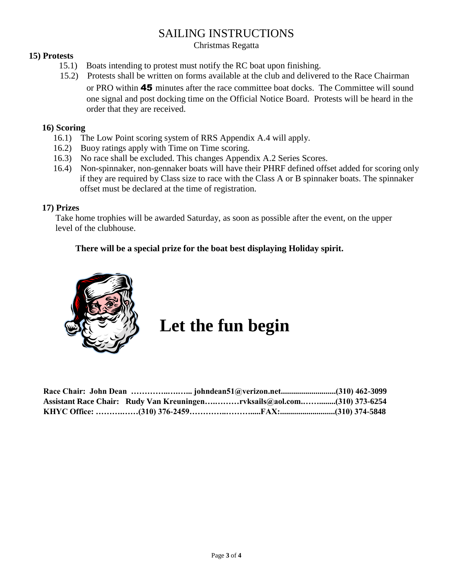## SAILING INSTRUCTIONS

Christmas Regatta

#### **15) Protests**

- 15.1) Boats intending to protest must notify the RC boat upon finishing.
- 15.2) Protests shall be written on forms available at the club and delivered to the Race Chairman or PRO within 45 minutes after the race committee boat docks. The Committee will sound one signal and post docking time on the Official Notice Board. Protests will be heard in the order that they are received.

#### **16) Scoring**

- 16.1) The Low Point scoring system of RRS Appendix A.4 will apply.
- 16.2) Buoy ratings apply with Time on Time scoring.
- 16.3) No race shall be excluded. This changes Appendix A.2 Series Scores.
- 16.4) Non-spinnaker, non-gennaker boats will have their PHRF defined offset added for scoring only if they are required by Class size to race with the Class A or B spinnaker boats. The spinnaker offset must be declared at the time of registration.

#### **17) Prizes**

 Take home trophies will be awarded Saturday, as soon as possible after the event, on the upper level of the clubhouse.

#### **There will be a special prize for the boat best displaying Holiday spirit.**



# **Let the fun begin**

|  | Assistant Race Chair: Rudy Van Kreuningenrvksails@aol.com(310) 373-6254 |  |
|--|-------------------------------------------------------------------------|--|
|  |                                                                         |  |